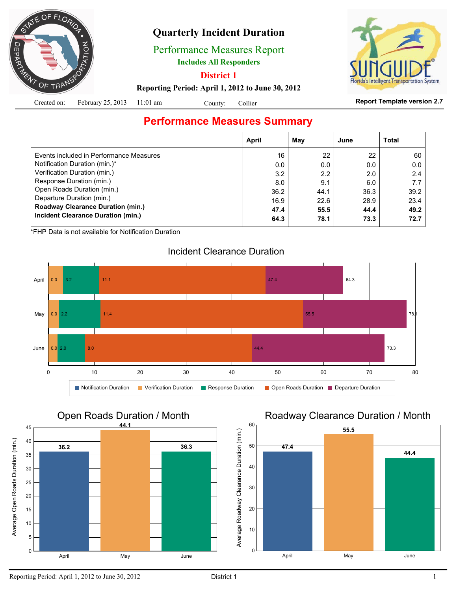

## **Quarterly Incident Duration**

Performance Measures Report

**Includes All Responders**

**District 1**

System

**Reporting Period: April 1, 2012 to June 30, 2012**

|  | Created on: February 25, 2013 $11:01$ am |  | County: Collier |
|--|------------------------------------------|--|-----------------|
|--|------------------------------------------|--|-----------------|

#### **Report Template version 2.7**

## **Performance Measures Summary**

|                                          | April | May  | June | Total |
|------------------------------------------|-------|------|------|-------|
| Events included in Performance Measures  | 16    | 22   | 22   | 60    |
| Notification Duration (min.)*            | 0.0   | 0.0  | 0.0  | 0.0   |
| Verification Duration (min.)             | 3.2   | 2.2  | 2.0  | 2.4   |
| Response Duration (min.)                 | 8.0   | 9.1  | 6.0  | 7.7   |
| Open Roads Duration (min.)               | 36.2  | 44.1 | 36.3 | 39.2  |
| Departure Duration (min.)                | 16.9  | 22.6 | 28.9 | 23.4  |
| <b>Roadway Clearance Duration (min.)</b> | 47.4  | 55.5 | 44.4 | 49.2  |
| Incident Clearance Duration (min.)       | 64.3  | 78.1 | 73.3 | 72.7  |
|                                          |       |      |      |       |

\*FHP Data is not available for Notification Duration

### Incident Clearance Duration





### Roadway Clearance Duration / Month

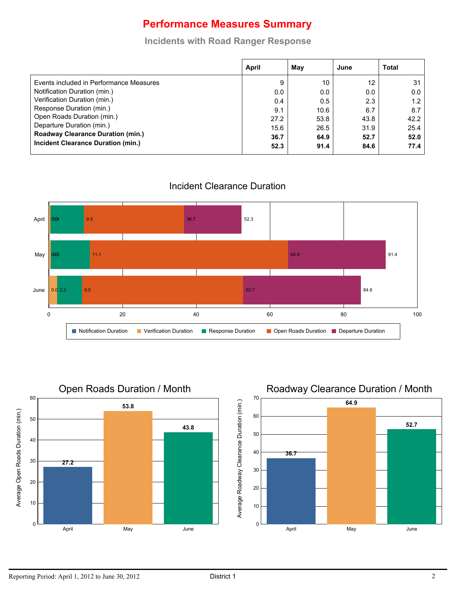## **Performance Measures Summary**

#### **Incidents with Road Ranger Response**

|                                          | April | May  | June | <b>Total</b>     |
|------------------------------------------|-------|------|------|------------------|
| Events included in Performance Measures  | 9     | 10   | 12   | 31 <sup>1</sup>  |
| Notification Duration (min.)             | 0.0   | 0.0  | 0.0  | 0.0              |
| Verification Duration (min.)             | 0.4   | 0.5  | 2.3  | 1.2 <sub>1</sub> |
| Response Duration (min.)                 | 9.1   | 10.6 | 6.7  | 8.7              |
| Open Roads Duration (min.)               | 27.2  | 53.8 | 43.8 | 42.2             |
| Departure Duration (min.)                | 15.6  | 26.5 | 31.9 | 25.4             |
| <b>Roadway Clearance Duration (min.)</b> | 36.7  | 64.9 | 52.7 | 52.0             |
| Incident Clearance Duration (min.)       | 52.3  | 91.4 | 84.6 | 77.4             |

Incident Clearance Duration





## Roadway Clearance Duration / Month

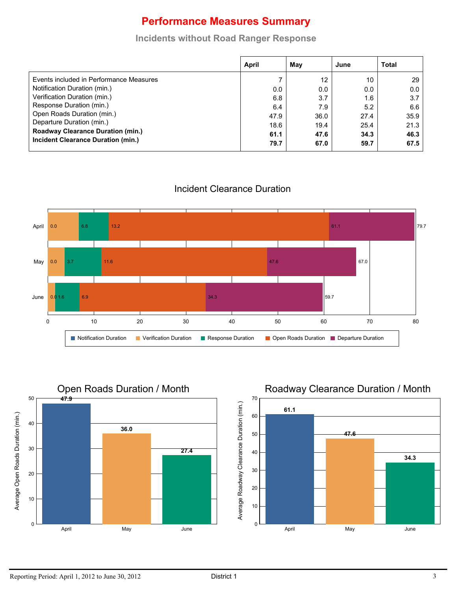# **Performance Measures Summary**

#### **Incidents without Road Ranger Response**

|                                          | April | May  | June | <b>Total</b> |
|------------------------------------------|-------|------|------|--------------|
| Events included in Performance Measures  |       | 12   | 10   | 29           |
| Notification Duration (min.)             | 0.0   | 0.0  | 0.0  | 0.0          |
| Verification Duration (min.)             | 6.8   | 3.7  | 1.6  | 3.7          |
| Response Duration (min.)                 | 6.4   | 7.9  | 5.2  | 6.6          |
| Open Roads Duration (min.)               | 47.9  | 36.0 | 27.4 | 35.9         |
| Departure Duration (min.)                | 18.6  | 19.4 | 25.4 | 21.3         |
| <b>Roadway Clearance Duration (min.)</b> | 61.1  | 47.6 | 34.3 | 46.3         |
| Incident Clearance Duration (min.)       | 79.7  | 67.0 | 59.7 | 67.5         |